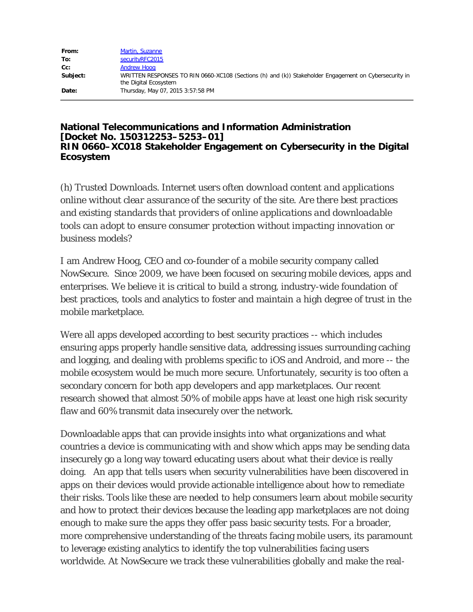| From:    | Martin, Suzanne                                                                                                                |
|----------|--------------------------------------------------------------------------------------------------------------------------------|
| To:      | securityRFC2015                                                                                                                |
| $Cc$ :   | <b>Andrew Hoog</b>                                                                                                             |
| Subject: | WRITTEN RESPONSES TO RIN 0660-XC108 (Sections (h) and (k)) Stakeholder Engagement on Cybersecurity in<br>the Digital Ecosystem |
| Date:    | Thursday, May 07, 2015 3:57:58 PM                                                                                              |

## **National Telecommunications and Information Administration [Docket No. 150312253–5253–01] RIN 0660–XC018 Stakeholder Engagement on Cybersecurity in the Digital Ecosystem**

*(h) Trusted Downloads. Internet users often download content and applications online without clear assurance of the security of the site. Are there best practices and existing standards that providers of online applications and downloadable tools can adopt to ensure consumer protection without impacting innovation or business models?*

I am Andrew Hoog, CEO and co-founder of a mobile security company called NowSecure. Since 2009, we have been focused on securing mobile devices, apps and enterprises. We believe it is critical to build a strong, industry-wide foundation of best practices, tools and analytics to foster and maintain a high degree of trust in the mobile marketplace.

Were all apps developed according to best security practices -- which includes ensuring apps properly handle sensitive data, addressing issues surrounding caching and logging, and dealing with problems specific to iOS and Android, and more -- the mobile ecosystem would be much more secure. Unfortunately, security is too often a secondary concern for both app developers and app marketplaces. Our recent research showed that almost 50% of mobile apps have at least one high risk security flaw and 60% transmit data insecurely over the network.

Downloadable apps that can provide insights into what organizations and what countries a device is communicating with and show which apps may be sending data insecurely go a long way toward educating users about what their device is really doing. An app that tells users when security vulnerabilities have been discovered in apps on their devices would provide actionable intelligence about how to remediate their risks. Tools like these are needed to help consumers learn about mobile security and how to protect their devices because the leading app marketplaces are not doing enough to make sure the apps they offer pass basic security tests. For a broader, more comprehensive understanding of the threats facing mobile users, its paramount to leverage existing analytics to identify the top vulnerabilities facing users worldwide. At NowSecure we track these vulnerabilities globally and make the real